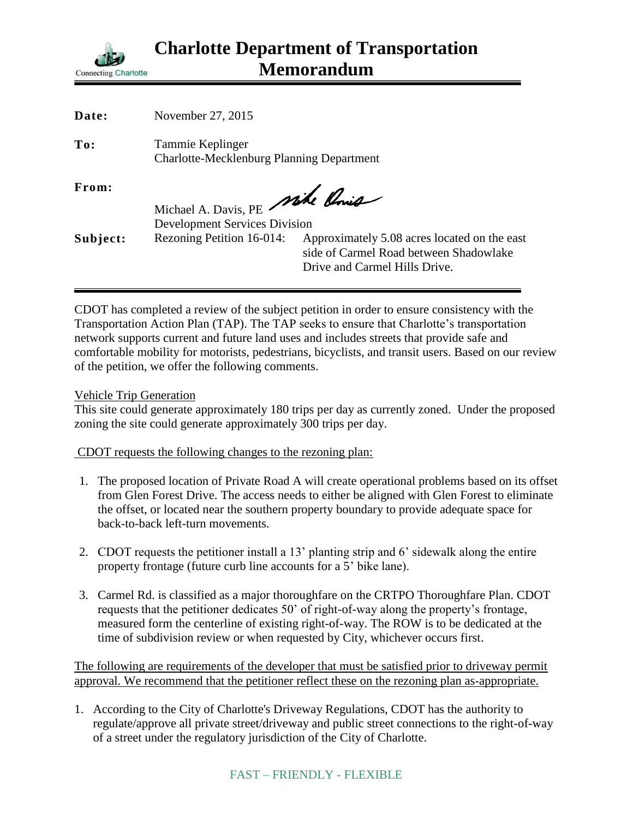

| November 27, 2015         |                                                                                                                             |
|---------------------------|-----------------------------------------------------------------------------------------------------------------------------|
| Tammie Keplinger          |                                                                                                                             |
|                           |                                                                                                                             |
|                           |                                                                                                                             |
| Rezoning Petition 16-014: | Approximately 5.08 acres located on the east<br>side of Carmel Road between Shadowlake<br>Drive and Carmel Hills Drive.     |
|                           | <b>Charlotte-Mecklenburg Planning Department</b><br>Michael A. Davis, PE Mike Chris<br><b>Development Services Division</b> |

CDOT has completed a review of the subject petition in order to ensure consistency with the Transportation Action Plan (TAP). The TAP seeks to ensure that Charlotte's transportation network supports current and future land uses and includes streets that provide safe and comfortable mobility for motorists, pedestrians, bicyclists, and transit users. Based on our review of the petition, we offer the following comments.

Vehicle Trip Generation

This site could generate approximately 180 trips per day as currently zoned. Under the proposed zoning the site could generate approximately 300 trips per day.

CDOT requests the following changes to the rezoning plan:

- 1. The proposed location of Private Road A will create operational problems based on its offset from Glen Forest Drive. The access needs to either be aligned with Glen Forest to eliminate the offset, or located near the southern property boundary to provide adequate space for back-to-back left-turn movements.
- 2. CDOT requests the petitioner install a 13' planting strip and 6' sidewalk along the entire property frontage (future curb line accounts for a 5' bike lane).
- 3. Carmel Rd. is classified as a major thoroughfare on the CRTPO Thoroughfare Plan. CDOT requests that the petitioner dedicates 50' of right-of-way along the property's frontage, measured form the centerline of existing right-of-way. The ROW is to be dedicated at the time of subdivision review or when requested by City, whichever occurs first.

The following are requirements of the developer that must be satisfied prior to driveway permit approval. We recommend that the petitioner reflect these on the rezoning plan as-appropriate.

1. According to the City of Charlotte's Driveway Regulations, CDOT has the authority to regulate/approve all private street/driveway and public street connections to the right-of-way of a street under the regulatory jurisdiction of the City of Charlotte.